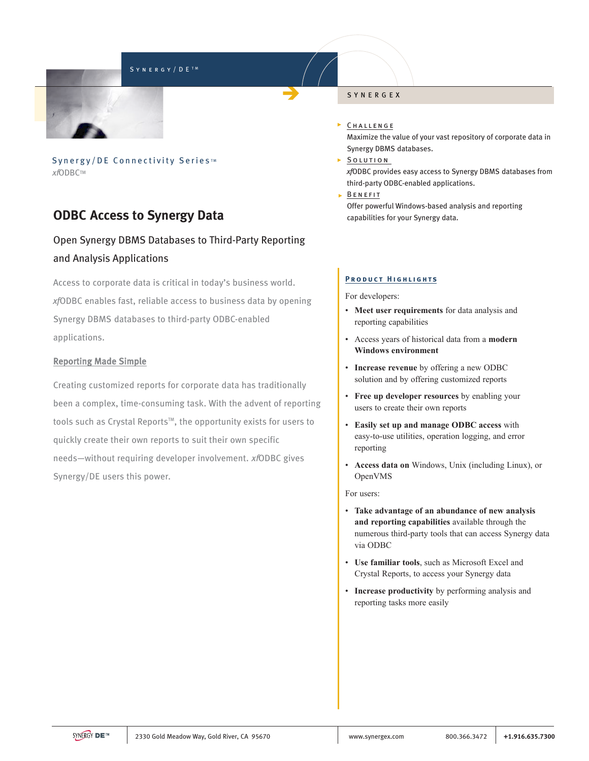### SYNERGY/DETM



Synergy/DE Connectivity Series<sup>IM</sup> xfODBCTM

# **ODBC Access to Synergy Data**

# Open Synergy DBMS Databases to Third-Party Reporting and Analysis Applications

Access to corporate data is critical in today's business world. *xf*ODBC enables fast, reliable access to business data by opening Synergy DBMS databases to third-party ODBC-enabled applications.

## Reporting Made Simple

Creating customized reports for corporate data has traditionally been a complex, time-consuming task. With the advent of reporting tools such as Crystal Reports<sup>™</sup>, the opportunity exists for users to quickly create their own reports to suit their own specific needs—without requiring developer involvement. xfODBC gives Synergy/DE users this power.

#### SYNERGEX

### **CHALLENGE**

Maximize the value of your vast repository of corporate data in Synergy DBMS databases.

## SOLUTION

*xf*ODBC provides easy access to Synergy DBMS databases from third-party ODBC-enabled applications.

 $\triangleright$  BENEFIT

Offer powerful Windows-based analysis and reporting capabilities for your Synergy data.

## **PRODUCT HIGHLIGHTS**

For developers:

- **Meet user requirements** for data analysis and reporting capabilities
- Access years of historical data from a **modern Windows environment**
- **Increase revenue** by offering a new ODBC solution and by offering customized reports
- **Free up developer resources** by enabling your users to create their own reports
- **Easily set up and manage ODBC access** with easy-to-use utilities, operation logging, and error reporting
- **Access data on** Windows, Unix (including Linux), or OpenVMS

For users:

- **Take advantage of an abundance of new analysis and reporting capabilities** available through the numerous third-party tools that can access Synergy data via ODBC
- **Use familiar tools**, such as Microsoft Excel and Crystal Reports, to access your Synergy data
- **Increase productivity** by performing analysis and reporting tasks more easily